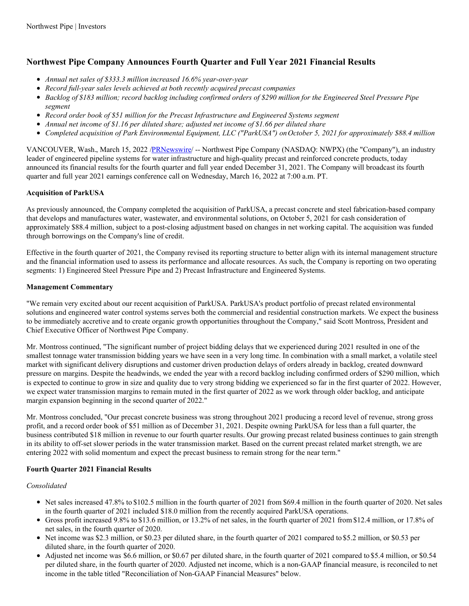# **Northwest Pipe Company Announces Fourth Quarter and Full Year 2021 Financial Results**

- *Annual net sales of \$333.3 million increased 16.6% year-over-year*
- *Record full-year sales levels achieved at both recently acquired precast companies*
- Backlog of \$183 million; record backlog including confirmed orders of \$290 million for the Engineered Steel Pressure Pipe *segment*
- *Record order book of \$51 million for the Precast Infrastructure and Engineered Systems segment*
- *Annual net income of \$1.16 per diluted share; adjusted net income of \$1.66 per diluted share*
- Completed acquisition of Park Environmental Equipment, LLC ("ParkUSA") on October 5, 2021 for approximately \$88.4 million

VANCOUVER, Wash., March 15, 2022 [/PRNewswire](http://www.prnewswire.com/)/ -- Northwest Pipe Company (NASDAQ: NWPX) (the "Company"), an industry leader of engineered pipeline systems for water infrastructure and high-quality precast and reinforced concrete products, today announced its financial results for the fourth quarter and full year ended December 31, 2021. The Company will broadcast its fourth quarter and full year 2021 earnings conference call on Wednesday, March 16, 2022 at 7:00 a.m. PT.

#### **Acquisition of ParkUSA**

As previously announced, the Company completed the acquisition of ParkUSA, a precast concrete and steel fabrication-based company that develops and manufactures water, wastewater, and environmental solutions, on October 5, 2021 for cash consideration of approximately \$88.4 million, subject to a post-closing adjustment based on changes in net working capital. The acquisition was funded through borrowings on the Company's line of credit.

Effective in the fourth quarter of 2021, the Company revised its reporting structure to better align with its internal management structure and the financial information used to assess its performance and allocate resources. As such, the Company is reporting on two operating segments: 1) Engineered Steel Pressure Pipe and 2) Precast Infrastructure and Engineered Systems.

#### **Management Commentary**

"We remain very excited about our recent acquisition of ParkUSA. ParkUSA's product portfolio of precast related environmental solutions and engineered water control systems serves both the commercial and residential construction markets. We expect the business to be immediately accretive and to create organic growth opportunities throughout the Company," said Scott Montross, President and Chief Executive Officer of Northwest Pipe Company.

Mr. Montross continued, "The significant number of project bidding delays that we experienced during 2021 resulted in one of the smallest tonnage water transmission bidding years we have seen in a very long time. In combination with a small market, a volatile steel market with significant delivery disruptions and customer driven production delays of orders already in backlog, created downward pressure on margins. Despite the headwinds, we ended the year with a record backlog including confirmed orders of \$290 million, which is expected to continue to grow in size and quality due to very strong bidding we experienced so far in the first quarter of 2022. However, we expect water transmission margins to remain muted in the first quarter of 2022 as we work through older backlog, and anticipate margin expansion beginning in the second quarter of 2022."

Mr. Montross concluded, "Our precast concrete business was strong throughout 2021 producing a record level of revenue, strong gross profit, and a record order book of \$51 million as of December 31, 2021. Despite owning ParkUSA for less than a full quarter, the business contributed \$18 million in revenue to our fourth quarter results. Our growing precast related business continues to gain strength in its ability to off-set slower periods in the water transmission market. Based on the current precast related market strength, we are entering 2022 with solid momentum and expect the precast business to remain strong for the near term."

#### **Fourth Quarter 2021 Financial Results**

#### *Consolidated*

- Net sales increased 47.8% to \$102.5 million in the fourth quarter of 2021 from \$69.4 million in the fourth quarter of 2020. Net sales in the fourth quarter of 2021 included \$18.0 million from the recently acquired ParkUSA operations.
- Gross profit increased 9.8% to \$13.6 million, or 13.2% of net sales, in the fourth quarter of 2021 from \$12.4 million, or 17.8% of net sales, in the fourth quarter of 2020.
- Net income was \$2.3 million, or \$0.23 per diluted share, in the fourth quarter of 2021 compared to \$5.2 million, or \$0.53 per diluted share, in the fourth quarter of 2020.
- Adjusted net income was \$6.6 million, or \$0.67 per diluted share, in the fourth quarter of 2021 compared to \$5.4 million, or \$0.54 per diluted share, in the fourth quarter of 2020. Adjusted net income, which is a non-GAAP financial measure, is reconciled to net income in the table titled "Reconciliation of Non-GAAP Financial Measures" below.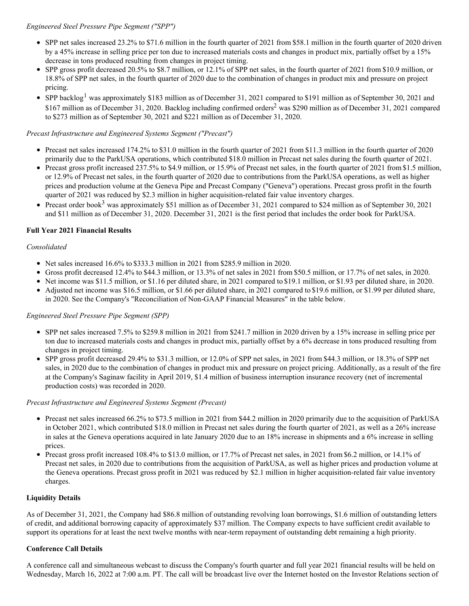## *Engineered Steel Pressure Pipe Segment ("SPP")*

- SPP net sales increased 23.2% to \$71.6 million in the fourth quarter of 2021 from \$58.1 million in the fourth quarter of 2020 driven by a 45% increase in selling price per ton due to increased materials costs and changes in product mix, partially offset by a 15% decrease in tons produced resulting from changes in project timing.
- SPP gross profit decreased 20.5% to \$8.7 million, or 12.1% of SPP net sales, in the fourth quarter of 2021 from \$10.9 million, or 18.8% of SPP net sales, in the fourth quarter of 2020 due to the combination of changes in product mix and pressure on project pricing.
- SPP backlog<sup>1</sup> was approximately \$183 million as of December 31, 2021 compared to \$191 million as of September 30, 2021 and \$167 million as of December 31, 2020. Backlog including confirmed orders<sup>2</sup> was \$290 million as of December 31, 2021 compared to \$273 million as of September 30, 2021 and \$221 million as of December 31, 2020.

## *Precast Infrastructure and Engineered Systems Segment ("Precast")*

- Precast net sales increased 174.2% to \$31.0 million in the fourth quarter of 2021 from \$11.3 million in the fourth quarter of 2020 primarily due to the ParkUSA operations, which contributed \$18.0 million in Precast net sales during the fourth quarter of 2021.
- Precast gross profit increased 237.5% to \$4.9 million, or 15.9% of Precast net sales, in the fourth quarter of 2021 from \$1.5 million, or 12.9% of Precast net sales, in the fourth quarter of 2020 due to contributions from the ParkUSA operations, as well as higher prices and production volume at the Geneva Pipe and Precast Company ("Geneva") operations. Precast gross profit in the fourth quarter of 2021 was reduced by \$2.3 million in higher acquisition-related fair value inventory charges.
- Precast order book<sup>3</sup> was approximately \$51 million as of December 31, 2021 compared to \$24 million as of September 30, 2021 and \$11 million as of December 31, 2020. December 31, 2021 is the first period that includes the order book for ParkUSA.

#### **Full Year 2021 Financial Results**

#### *Consolidated*

- $\bullet$  Net sales increased 16.6% to \$333.3 million in 2021 from \$285.9 million in 2020.
- Gross profit decreased 12.4% to \$44.3 million, or 13.3% of net sales in 2021 from \$50.5 million, or 17.7% of net sales, in 2020.
- Net income was \$11.5 million, or \$1.16 per diluted share, in 2021 compared to \$19.1 million, or \$1.93 per diluted share, in 2020.
- Adjusted net income was \$16.5 million, or \$1.66 per diluted share, in 2021 compared to \$19.6 million, or \$1.99 per diluted share, in 2020. See the Company's "Reconciliation of Non-GAAP Financial Measures" in the table below.

#### *Engineered Steel Pressure Pipe Segment (SPP)*

- SPP net sales increased 7.5% to \$259.8 million in 2021 from \$241.7 million in 2020 driven by a 15% increase in selling price per ton due to increased materials costs and changes in product mix, partially offset by a 6% decrease in tons produced resulting from changes in project timing.
- SPP gross profit decreased 29.4% to \$31.3 million, or 12.0% of SPP net sales, in 2021 from \$44.3 million, or 18.3% of SPP net sales, in 2020 due to the combination of changes in product mix and pressure on project pricing. Additionally, as a result of the fire at the Company's Saginaw facility in April 2019, \$1.4 million of business interruption insurance recovery (net of incremental production costs) was recorded in 2020.

#### *Precast Infrastructure and Engineered Systems Segment (Precast)*

- Precast net sales increased 66.2% to \$73.5 million in 2021 from \$44.2 million in 2020 primarily due to the acquisition of ParkUSA in October 2021, which contributed \$18.0 million in Precast net sales during the fourth quarter of 2021, as well as a 26% increase in sales at the Geneva operations acquired in late January 2020 due to an 18% increase in shipments and a 6% increase in selling prices.
- Precast gross profit increased 108.4% to \$13.0 million, or 17.7% of Precast net sales, in 2021 from \$6.2 million, or 14.1% of Precast net sales, in 2020 due to contributions from the acquisition of ParkUSA, as well as higher prices and production volume at the Geneva operations. Precast gross profit in 2021 was reduced by \$2.1 million in higher acquisition-related fair value inventory charges.

#### **Liquidity Details**

As of December 31, 2021, the Company had \$86.8 million of outstanding revolving loan borrowings, \$1.6 million of outstanding letters of credit, and additional borrowing capacity of approximately \$37 million. The Company expects to have sufficient credit available to support its operations for at least the next twelve months with near-term repayment of outstanding debt remaining a high priority.

## **Conference Call Details**

A conference call and simultaneous webcast to discuss the Company's fourth quarter and full year 2021 financial results will be held on Wednesday, March 16, 2022 at 7:00 a.m. PT. The call will be broadcast live over the Internet hosted on the Investor Relations section of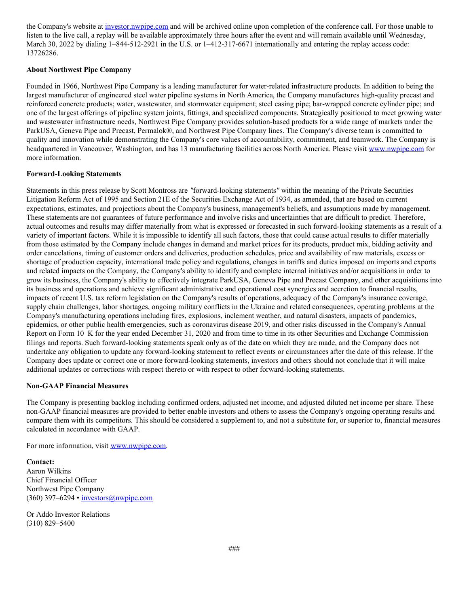the Company's website at [investor.nwpipe.com](https://c212.net/c/link/?t=0&l=en&o=3473792-1&h=2504476253&u=https%3A%2F%2Finvestor.nwpipe.com%2F&a=investor.nwpipe.com) and will be archived online upon completion of the conference call. For those unable to listen to the live call, a replay will be available approximately three hours after the event and will remain available until Wednesday, March 30, 2022 by dialing  $1-844-512-2921$  in the U.S. or  $1-412-317-6671$  internationally and entering the replay access code: 13726286.

#### **About Northwest Pipe Company**

Founded in 1966, Northwest Pipe Company is a leading manufacturer for water-related infrastructure products. In addition to being the largest manufacturer of engineered steel water pipeline systems in North America, the Company manufactures high-quality precast and reinforced concrete products; water, wastewater, and stormwater equipment; steel casing pipe; bar-wrapped concrete cylinder pipe; and one of the largest offerings of pipeline system joints, fittings, and specialized components. Strategically positioned to meet growing water and wastewater infrastructure needs, Northwest Pipe Company provides solution-based products for a wide range of markets under the ParkUSA, Geneva Pipe and Precast, Permalok®, and Northwest Pipe Company lines. The Company's diverse team is committed to quality and innovation while demonstrating the Company's core values of accountability, commitment, and teamwork. The Company is headquartered in Vancouver, Washington, and has 13 manufacturing facilities across North America. Please visit [www.nwpipe.com](https://c212.net/c/link/?t=0&l=en&o=3473792-1&h=507012327&u=http%3A%2F%2Fwww.nwpipe.com%2F&a=www.nwpipe.com) for more information.

#### **Forward-Looking Statements**

Statements in this press release by Scott Montross are *"*forward-looking statements*"* within the meaning of the Private Securities Litigation Reform Act of 1995 and Section 21E of the Securities Exchange Act of 1934, as amended, that are based on current expectations, estimates, and projections about the Company's business, management's beliefs, and assumptions made by management. These statements are not guarantees of future performance and involve risks and uncertainties that are difficult to predict. Therefore, actual outcomes and results may differ materially from what is expressed or forecasted in such forward-looking statements as a result of a variety of important factors. While it is impossible to identify all such factors, those that could cause actual results to differ materially from those estimated by the Company include changes in demand and market prices for its products, product mix, bidding activity and order cancelations, timing of customer orders and deliveries, production schedules, price and availability of raw materials, excess or shortage of production capacity, international trade policy and regulations, changes in tariffs and duties imposed on imports and exports and related impacts on the Company, the Company's ability to identify and complete internal initiatives and/or acquisitions in order to grow its business, the Company's ability to effectively integrate ParkUSA, Geneva Pipe and Precast Company, and other acquisitions into its business and operations and achieve significant administrative and operational cost synergies and accretion to financial results, impacts of recent U.S. tax reform legislation on the Company's results of operations, adequacy of the Company's insurance coverage, supply chain challenges, labor shortages, ongoing military conflicts in the Ukraine and related consequences, operating problems at the Company's manufacturing operations including fires, explosions, inclement weather, and natural disasters, impacts of pandemics, epidemics, or other public health emergencies, such as coronavirus disease 2019, and other risks discussed in the Company's Annual Report on Form 10–K for the year ended December 31, 2020 and from time to time in its other Securities and Exchange Commission filings and reports. Such forward-looking statements speak only as of the date on which they are made, and the Company does not undertake any obligation to update any forward-looking statement to reflect events or circumstances after the date of this release. If the Company does update or correct one or more forward-looking statements, investors and others should not conclude that it will make additional updates or corrections with respect thereto or with respect to other forward-looking statements.

#### **Non-GAAP Financial Measures**

The Company is presenting backlog including confirmed orders, adjusted net income, and adjusted diluted net income per share. These non-GAAP financial measures are provided to better enable investors and others to assess the Company's ongoing operating results and compare them with its competitors. This should be considered a supplement to, and not a substitute for, or superior to, financial measures calculated in accordance with GAAP.

For more information, visit [www.nwpipe.com](https://c212.net/c/link/?t=0&l=en&o=3473792-1&h=507012327&u=http%3A%2F%2Fwww.nwpipe.com%2F&a=www.nwpipe.com).

**Contact:** Aaron Wilkins Chief Financial Officer Northwest Pipe Company  $(360)$  397–6294 • [investors@nwpipe.com](mailto:investors@nwpipe.com)

Or Addo Investor Relations (310) 829–5400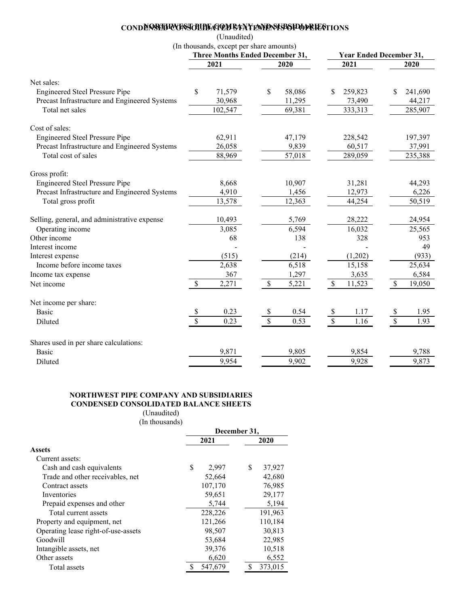# CONDENSETHWESS GUID AGON BANY ENDSTRISH DIPERFITIONS

|                                               |               | (Unaudited)                              |                          |        |                           |                         |                         |         |  |  |
|-----------------------------------------------|---------------|------------------------------------------|--------------------------|--------|---------------------------|-------------------------|-------------------------|---------|--|--|
|                                               |               | (In thousands, except per share amounts) |                          |        |                           |                         |                         |         |  |  |
|                                               |               | Three Months Ended December 31,          |                          |        |                           | Year Ended December 31, |                         |         |  |  |
|                                               |               | 2021                                     |                          | 2020   |                           | 2021                    |                         | 2020    |  |  |
| Net sales:                                    |               |                                          |                          |        |                           |                         |                         |         |  |  |
| <b>Engineered Steel Pressure Pipe</b>         | \$            | 71,579                                   | \$                       | 58,086 | \$                        | 259,823                 | \$                      | 241,690 |  |  |
| Precast Infrastructure and Engineered Systems |               | 30,968                                   |                          | 11,295 |                           | 73,490                  |                         | 44,217  |  |  |
| Total net sales                               |               | 102,547                                  |                          | 69,381 |                           | 333,313                 |                         | 285,907 |  |  |
| Cost of sales:                                |               |                                          |                          |        |                           |                         |                         |         |  |  |
| <b>Engineered Steel Pressure Pipe</b>         |               | 62,911                                   |                          | 47,179 |                           | 228,542                 |                         | 197,397 |  |  |
| Precast Infrastructure and Engineered Systems |               | 26,058                                   |                          | 9,839  |                           | 60,517                  |                         | 37,991  |  |  |
| Total cost of sales                           |               | 88,969                                   |                          | 57,018 |                           | 289,059                 |                         | 235,388 |  |  |
| Gross profit:                                 |               |                                          |                          |        |                           |                         |                         |         |  |  |
| <b>Engineered Steel Pressure Pipe</b>         |               | 8,668                                    |                          | 10,907 |                           | 31,281                  |                         | 44,293  |  |  |
| Precast Infrastructure and Engineered Systems |               | 4,910                                    |                          | 1,456  |                           | 12,973                  |                         | 6,226   |  |  |
| Total gross profit                            |               | 13,578                                   |                          | 12,363 |                           | 44,254                  |                         | 50,519  |  |  |
| Selling, general, and administrative expense  |               | 10,493                                   |                          | 5,769  |                           | 28,222                  |                         | 24,954  |  |  |
| Operating income                              |               | 3,085                                    |                          | 6,594  |                           | 16,032                  |                         | 25,565  |  |  |
| Other income                                  |               | 68                                       |                          | 138    |                           | 328                     |                         | 953     |  |  |
| Interest income                               |               |                                          |                          |        |                           |                         |                         | 49      |  |  |
| Interest expense                              |               | (515)                                    |                          | (214)  |                           | (1,202)                 |                         | (933)   |  |  |
| Income before income taxes                    |               | 2,638                                    |                          | 6,518  |                           | 15,158                  |                         | 25,634  |  |  |
| Income tax expense                            |               | 367                                      |                          | 1,297  |                           | 3,635                   |                         | 6,584   |  |  |
| Net income                                    | $\mathcal{S}$ | 2,271                                    | $\mathbb S$              | 5,221  | $\mathbb{S}$              | 11,523                  | $\mathbb{S}$            | 19,050  |  |  |
| Net income per share:                         |               |                                          |                          |        |                           |                         |                         |         |  |  |
| <b>Basic</b>                                  | S             | 0.23                                     | \$                       | 0.54   | $\boldsymbol{\mathsf{S}}$ | 1.17                    | \$                      | 1.95    |  |  |
| Diluted                                       | $\mathbb{S}$  | 0.23                                     | $\overline{\mathcal{S}}$ | 0.53   | $\sqrt{\frac{2}{\pi}}$    | 1.16                    | $\overline{\mathbb{S}}$ | 1.93    |  |  |
| Shares used in per share calculations:        |               |                                          |                          |        |                           |                         |                         |         |  |  |
| <b>Basic</b>                                  |               | 9,871                                    |                          | 9,805  |                           | 9,854                   |                         | 9,788   |  |  |
| Diluted                                       |               | 9,954                                    |                          | 9,902  |                           | 9,928                   |                         | 9,873   |  |  |
|                                               |               |                                          |                          |        |                           |                         |                         |         |  |  |

## **NORTHWEST PIPE COMPANY AND SUBSIDIARIES CONDENSED CONSOLIDATED BALANCE SHEETS** (Unaudited)

(In thousands)

|                                     |               | December 31,  |  |  |  |  |  |
|-------------------------------------|---------------|---------------|--|--|--|--|--|
|                                     | 2021          | 2020          |  |  |  |  |  |
| <b>Assets</b>                       |               |               |  |  |  |  |  |
| Current assets:                     |               |               |  |  |  |  |  |
| Cash and cash equivalents           | \$<br>2,997   | \$<br>37,927  |  |  |  |  |  |
| Trade and other receivables, net    | 52,664        | 42,680        |  |  |  |  |  |
| Contract assets                     | 107,170       | 76,985        |  |  |  |  |  |
| Inventories                         | 59,651        | 29,177        |  |  |  |  |  |
| Prepaid expenses and other          | 5,744         | 5,194         |  |  |  |  |  |
| Total current assets                | 228,226       | 191,963       |  |  |  |  |  |
| Property and equipment, net         | 121,266       | 110,184       |  |  |  |  |  |
| Operating lease right-of-use-assets | 98,507        | 30,813        |  |  |  |  |  |
| Goodwill                            | 53,684        | 22,985        |  |  |  |  |  |
| Intangible assets, net              | 39,376        | 10,518        |  |  |  |  |  |
| Other assets                        | 6,620         | 6,552         |  |  |  |  |  |
| Total assets                        | \$<br>547,679 | \$<br>373,015 |  |  |  |  |  |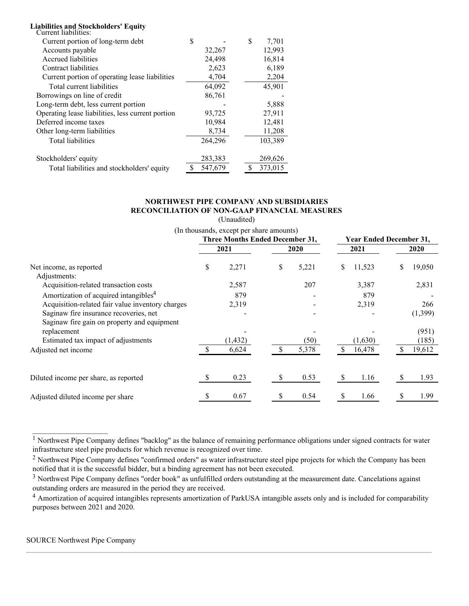# **Liabilities and Stockholders' Equity** Current liabilities:

| \$      | \$<br>7,701 |
|---------|-------------|
| 32,267  | 12,993      |
| 24,498  | 16,814      |
| 2,623   | 6,189       |
| 4,704   | 2,204       |
| 64,092  | 45,901      |
| 86,761  |             |
|         | 5,888       |
| 93,725  | 27,911      |
| 10,984  | 12,481      |
| 8,734   | 11,208      |
| 264,296 | 103,389     |
|         | 269,626     |
| 547,679 | 373,015     |
|         | 283,383     |

# **NORTHWEST PIPE COMPANY AND SUBSIDIARIES RECONCILIATION OF NON-GAAP FINANCIAL MEASURES**

(Unaudited)

|                                                                                       |                                        | (In thousands, except per share amounts) |     |                                |    |         |    |             |
|---------------------------------------------------------------------------------------|----------------------------------------|------------------------------------------|-----|--------------------------------|----|---------|----|-------------|
|                                                                                       | <b>Three Months Ended December 31,</b> |                                          |     | <b>Year Ended December 31,</b> |    |         |    |             |
|                                                                                       |                                        | 2021                                     |     | 2020                           |    | 2021    |    | <b>2020</b> |
| Net income, as reported                                                               | \$                                     | 2,271                                    | S   | 5,221                          | \$ | 11,523  | S  | 19,050      |
| Adjustments:                                                                          |                                        |                                          |     |                                |    |         |    |             |
| Acquisition-related transaction costs                                                 |                                        | 2,587                                    |     | 207                            |    | 3,387   |    | 2,831       |
| Amortization of acquired intangibles <sup>4</sup>                                     |                                        | 879                                      |     |                                |    | 879     |    |             |
| Acquisition-related fair value inventory charges                                      |                                        | 2,319                                    |     |                                |    | 2,319   |    | 266         |
| Saginaw fire insurance recoveries, net<br>Saginaw fire gain on property and equipment |                                        |                                          |     |                                |    |         |    | (1,399)     |
| replacement                                                                           |                                        |                                          |     |                                |    |         |    | (951)       |
| Estimated tax impact of adjustments                                                   |                                        | (1, 432)                                 |     | (50)                           |    | (1,630) |    | (185)       |
| Adjusted net income                                                                   |                                        | 6,624                                    | \$. | 5,378                          | S. | 16,478  |    | 19,612      |
| Diluted income per share, as reported                                                 | \$                                     | 0.23                                     | S   | 0.53                           | S. | 1.16    | \$ | 1.93        |
| Adjusted diluted income per share                                                     |                                        | 0.67                                     |     | 0.54                           |    | 1.66    | S  | 1.99        |

 $\frac{1}{1}$  Northwest Pipe Company defines "backlog" as the balance of remaining performance obligations under signed contracts for water infrastructure steel pipe products for which revenue is recognized over time.

<sup>&</sup>lt;sup>2</sup> Northwest Pipe Company defines "confirmed orders" as water infrastructure steel pipe projects for which the Company has been notified that it is the successful bidder, but a binding agreement has not been executed.

<sup>&</sup>lt;sup>3</sup> Northwest Pipe Company defines "order book" as unfulfilled orders outstanding at the measurement date. Cancelations against outstanding orders are measured in the period they are received.

<sup>4</sup> Amortization of acquired intangibles represents amortization of ParkUSA intangible assets only and is included for comparability purposes between 2021 and 2020.